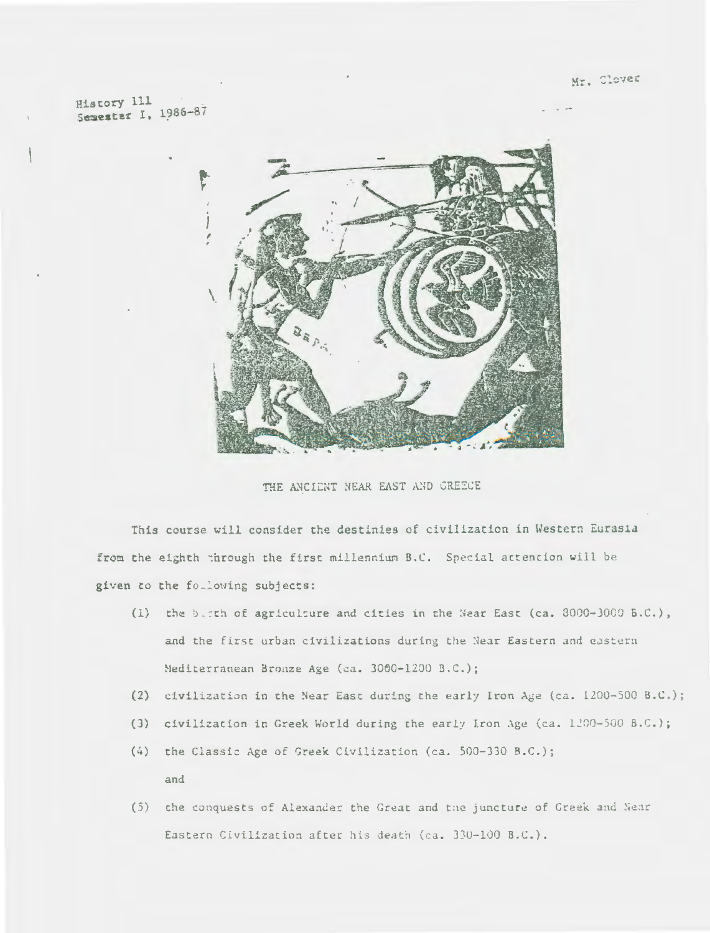Mr. Clover

History 111 Semester I, 1986-87



THE ANCIENT NEAR EAST AND GREECE

This course will consider the destinies of civilization in Western Eurasia from the eighth through the first millennium B.C. Special attention will be given to the following subjects:

- (1) the birth of agriculture and cities in the Near East (ca. 8000-3000 B.C.), and the first urban civilizations during the Near Eastern and eastern Mediterranean Bronze Age (ca. 3000-1200 B.C.);
- (2) eivilization in the Near East during the early Iron Age (ca. 1200-500 B.C.);
- (3) civilization in Greek World during the early Iron Age (ca. 1200-500 B.C.);
- (4) the Classic Age of Greek Civilization (ca. 500-330 B.C.); and
- (5) the conquests of Alexander the Great and the juncture of Greek and Near Eastern Civilization after his death (ca. 330-100 B.C.).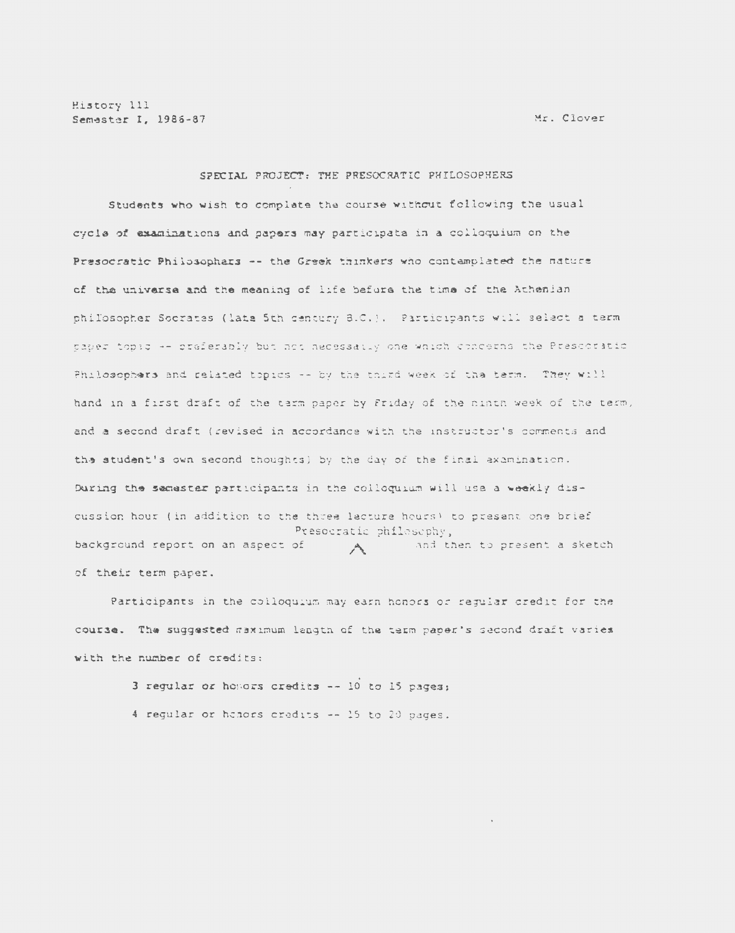History 111 Semester I, 1986-87

Mr. Clover

## SPECIAL PROJECT: THE PRESOCRATIC PHILOSOPHERS

Students who wish to complate the course without following the usual cycle of examinations and papers may participate in a colloquium on the Presocratic Philosophars -- the Greek thinkers who contamplated the nature of the universe and the meaning of life before the time of the Athenian philosopher Socrates (lats 5th century 8.0.). Participants will select a term taber topic -- preferably but not necessaily one which concerns the Prescoratio Philosophers and related topics -- by the third week of the term. They will hand in a first draft of the term paper by Friday of the ninth week of the term, and a second draft (revised in accordance with the instructor's comments and the student's own second thoughts) by the day of the final axamination. During the semester participants in the colloquium will use a weekly discussion hour (in addition to the three lacture hours) to present one brief Presocratic philosophy, background report on an aspect of and then to present a sketch  $A \sim$ of their term paper.

Participants in the colloquium may earn honors or regular credit for the course. The suggested maximum langth of the term paper's second draft varies with the number of credits:

> 3 regular or honors credits -- 10 to 15 pages; 4 regular or honors credits -- 15 to 20 pages.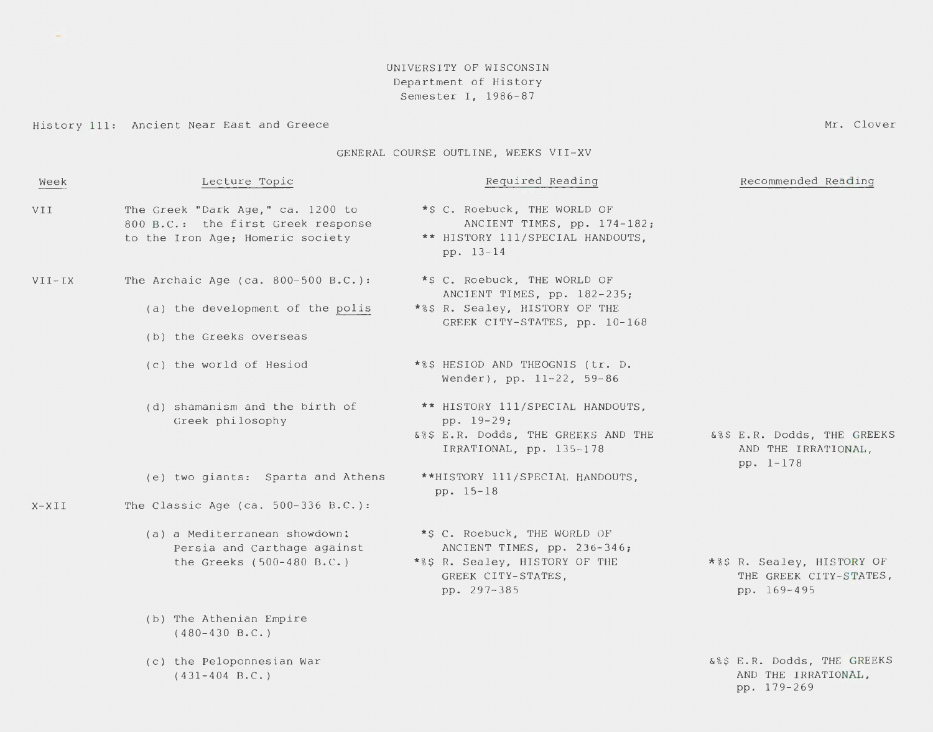## UNIVERSITY OF WISCONSIN Department of History Semester I, 1986-87

Mr. Clover

## History 111: Ancient Near East and Greece

 $\omega_{\rm{eff}}$ 

## GENERAL COURSE OUTLINE, WEEKS VII-XV

| Week       | Lecture Topic                                                                                               | Required Reading                                                                                                                   | Recommended Reading                                                 |
|------------|-------------------------------------------------------------------------------------------------------------|------------------------------------------------------------------------------------------------------------------------------------|---------------------------------------------------------------------|
| VII        | The Greek "Dark Age," ca. 1200 to<br>800 B.C.: the first Greek response<br>to the Iron Age; Homeric society | *\$ C. Roebuck, THE WORLD OF<br>ANCIENT TIMES, pp. 174-182;<br>** HISTORY 111/SPECIAL HANDOUTS,<br>pp. 13-14                       |                                                                     |
| $VII - IX$ | The Archaic Age (ca. $800-500$ B.C.):                                                                       | *\$ C. Roebuck, THE WORLD OF                                                                                                       |                                                                     |
|            | (a) the development of the polis                                                                            | ANCIENT TIMES, pp. 182-235;<br>*%\$ R. Sealey, HISTORY OF THE<br>GREEK CITY-STATES, pp. 10-168                                     |                                                                     |
|            | (b) the Greeks overseas                                                                                     |                                                                                                                                    |                                                                     |
|            | (c) the world of Hesiod                                                                                     | *%\$ HESIOD AND THEOGNIS (tr. D.<br>Wender), pp. 11-22, 59-86                                                                      |                                                                     |
|            | (d) shamanism and the birth of<br>Greek philosophy                                                          | ** HISTORY 111/SPECIAL HANDOUTS,<br>pp. 19-29;<br>&%\$ E.R. Dodds, THE GREEKS AND THE<br>IRRATIONAL, pp. 135-178                   | &%\$ E.R. Dodds, THE GREEKS<br>AND THE IRRATIONAL,                  |
|            | (e) two giants: Sparta and Athens                                                                           | **HISTORY 111/SPECIAL HANDOUTS,<br>pp. 15-18                                                                                       | pp. 1-178                                                           |
| $X-XII$    | The Classic Age (ca. $500-336$ B.C.):                                                                       |                                                                                                                                    |                                                                     |
|            | (a) a Mediterranean showdown:<br>Persia and Carthage against<br>the Greeks $(500-480 B.C.)$                 | *\$ C. Roebuck, THE WORLD OF<br>ANCIENT TIMES, pp. 236-346;<br>*%\$ R. Sealey, HISTORY OF THE<br>GREEK CITY-STATES,<br>pp. 297-385 | *%\$ R. Sealey, HISTORY OF<br>THE GREEK CITY-STATES,<br>pp. 169-495 |
|            | (b) The Athenian Empire<br>$(480-430 B.C.)$                                                                 |                                                                                                                                    |                                                                     |
|            | (c) the Peloponnesian War<br>$(431-404 \text{ B.C.})$                                                       |                                                                                                                                    | 6%\$ E.R. Dodds, THE GREEKS<br>AND THE IRRATIONAL,<br>pp. 179-269   |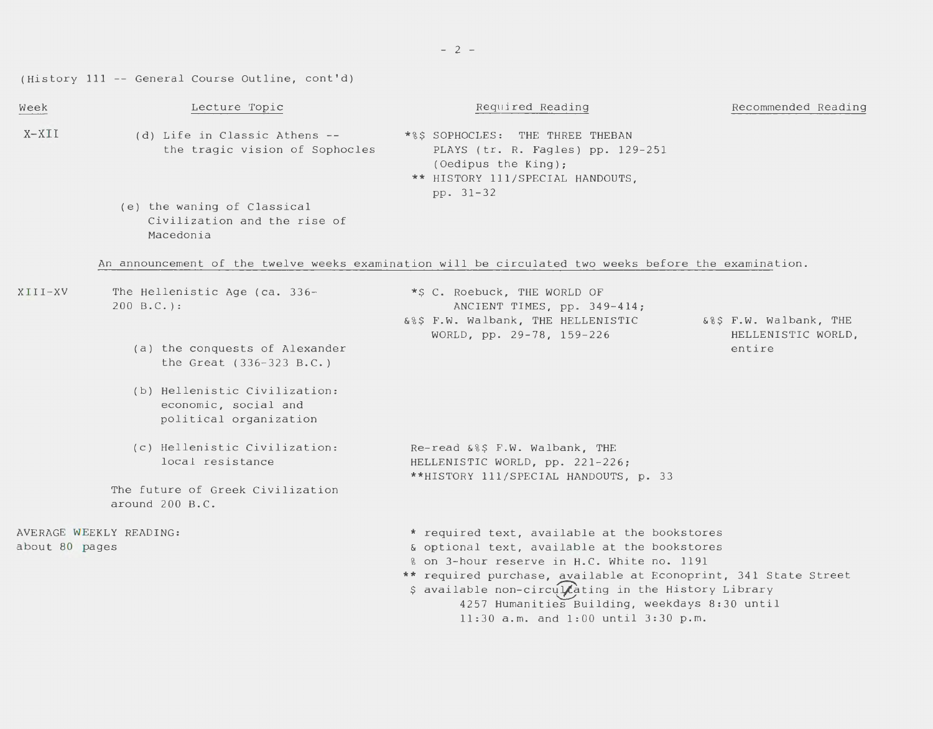(History 111 -- General Course Outline, cont'd)

| Week                                      | Lecture Topic                                                                                        | Required Reading                                                                                                                                                                                                                                                                                                                                              | Recommended Reading                          |  |  |
|-------------------------------------------|------------------------------------------------------------------------------------------------------|---------------------------------------------------------------------------------------------------------------------------------------------------------------------------------------------------------------------------------------------------------------------------------------------------------------------------------------------------------------|----------------------------------------------|--|--|
| X-XII                                     | (d) Life in Classic Athens --<br>the tragic vision of Sophocles                                      | *%\$ SOPHOCLES: THE THREE THEBAN<br>PLAYS (tr. R. Fagles) pp. 129-251<br>(Oedipus the King);<br>** HISTORY 111/SPECIAL HANDOUTS,<br>pp. 31-32                                                                                                                                                                                                                 |                                              |  |  |
|                                           | (e) the waning of Classical<br>Civilization and the rise of<br>Macedonia                             |                                                                                                                                                                                                                                                                                                                                                               |                                              |  |  |
|                                           | An announcement of the twelve weeks examination will be circulated two weeks before the examination. |                                                                                                                                                                                                                                                                                                                                                               |                                              |  |  |
| XIII-XV                                   | The Hellenistic Age (ca. 336-<br>$200 B.C.$ :                                                        | *\$ C. Roebuck, THE WORLD OF<br>ANCIENT TIMES, pp. 349-414;<br>&%\$ F.W. Walbank, THE HELLENISTIC<br>WORLD, pp. 29-78, 159-226                                                                                                                                                                                                                                | 6%\$ F.W. Walbank, THE<br>HELLENISTIC WORLD, |  |  |
|                                           | (a) the conquests of Alexander<br>the Great $(336-323 B.C.)$                                         |                                                                                                                                                                                                                                                                                                                                                               | entire                                       |  |  |
|                                           | (b) Hellenistic Civilization:<br>economic, social and<br>political organization                      |                                                                                                                                                                                                                                                                                                                                                               |                                              |  |  |
|                                           | (c) Hellenistic Civilization:<br>local resistance                                                    | Re-read &%\$ F.W. Walbank, THE<br>HELLENISTIC WORLD, pp. 221-226;<br>**HISTORY 111/SPECIAL HANDOUTS, p. 33                                                                                                                                                                                                                                                    |                                              |  |  |
|                                           | The future of Greek Civilization<br>around 200 B.C.                                                  |                                                                                                                                                                                                                                                                                                                                                               |                                              |  |  |
| AVERAGE WEEKLY READING:<br>about 80 pages |                                                                                                      | * required text, available at the bookstores<br>& optional text, available at the bookstores<br>% on 3-hour reserve in H.C. White no. 1191<br>** required purchase, available at Econoprint, 341 State Street<br>\$ available non-circulcating in the History Library<br>4257 Humanities Building, weekdays 8:30 until<br>11:30 a.m. and 1:00 until 3:30 p.m. |                                              |  |  |